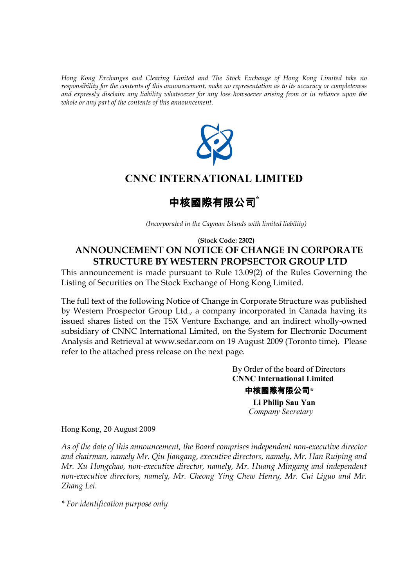*Hong Kong Exchanges and Clearing Limited and The Stock Exchange of Hong Kong Limited take no responsibility for the contents of this announcement, make no representation as to its accuracy or completeness and expressly disclaim any liability whatsoever for any loss howsoever arising from or in reliance upon the whole or any part of the contents of this announcement.* 



# **CNNC INTERNATIONAL LIMITED**

# 中核國際有限公司**\***

*(Incorporated in the Cayman Islands with limited liability)*

## **(Stock Code: 2302) ANNOUNCEMENT ON NOTICE OF CHANGE IN CORPORATE STRUCTURE BY WESTERN PROPSECTOR GROUP LTD**

This announcement is made pursuant to Rule 13.09(2) of the Rules Governing the Listing of Securities on The Stock Exchange of Hong Kong Limited.

The full text of the following Notice of Change in Corporate Structure was published by Western Prospector Group Ltd., a company incorporated in Canada having its issued shares listed on the TSX Venture Exchange, and an indirect wholly-owned subsidiary of CNNC International Limited, on the System for Electronic Document Analysis and Retrieval at www.sedar.com on 19 August 2009 (Toronto time). Please refer to the attached press release on the next page.

> By Order of the board of Directors  **CNNC International Limited** 中核國際有限公司**\* Li Philip Sau Yan** *Company Secretary*

Hong Kong, 20 August 2009

*As of the date of this announcement, the Board comprises independent non-executive director and chairman, namely Mr. Qiu Jiangang, executive directors, namely, Mr. Han Ruiping and Mr. Xu Hongchao, non-executive director, namely, Mr. Huang Mingang and independent non-executive directors, namely, Mr. Cheong Ying Chew Henry, Mr. Cui Liguo and Mr. Zhang Lei.* 

*\* For identification purpose only*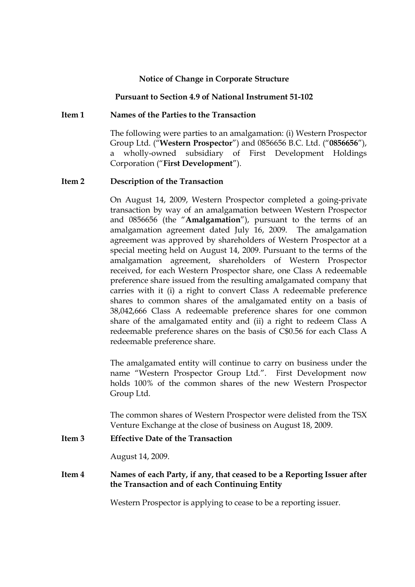#### **Notice of Change in Corporate Structure**

#### **Pursuant to Section 4.9 of National Instrument 51-102**

#### **Item 1 Names of the Parties to the Transaction**

 The following were parties to an amalgamation: (i) Western Prospector Group Ltd. ("**Western Prospector**") and 0856656 B.C. Ltd. ("**0856656**"), a wholly-owned subsidiary of First Development Holdings Corporation ("**First Development**").

#### **Item 2 Description of the Transaction**

On August 14, 2009, Western Prospector completed a going-private transaction by way of an amalgamation between Western Prospector and 0856656 (the "**Amalgamation**"), pursuant to the terms of an amalgamation agreement dated July 16, 2009. The amalgamation agreement was approved by shareholders of Western Prospector at a special meeting held on August 14, 2009. Pursuant to the terms of the amalgamation agreement, shareholders of Western Prospector received, for each Western Prospector share, one Class A redeemable preference share issued from the resulting amalgamated company that carries with it (i) a right to convert Class A redeemable preference shares to common shares of the amalgamated entity on a basis of 38,042,666 Class A redeemable preference shares for one common share of the amalgamated entity and (ii) a right to redeem Class A redeemable preference shares on the basis of C\$0.56 for each Class A redeemable preference share.

The amalgamated entity will continue to carry on business under the name "Western Prospector Group Ltd.". First Development now holds 100% of the common shares of the new Western Prospector Group Ltd.

The common shares of Western Prospector were delisted from the TSX Venture Exchange at the close of business on August 18, 2009.

#### **Item 3 Effective Date of the Transaction**

August 14, 2009.

### **Item 4 Names of each Party, if any, that ceased to be a Reporting Issuer after the Transaction and of each Continuing Entity**

Western Prospector is applying to cease to be a reporting issuer.